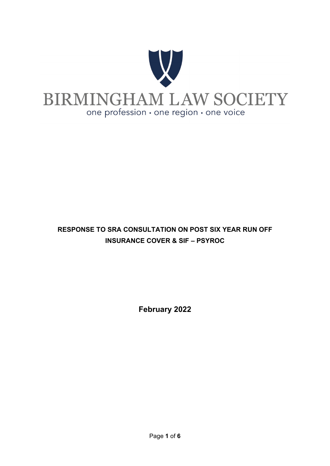

### **RESPONSE TO SRA CONSULTATION ON POST SIX YEAR RUN OFF INSURANCE COVER & SIF – PSYROC**

**February 2022**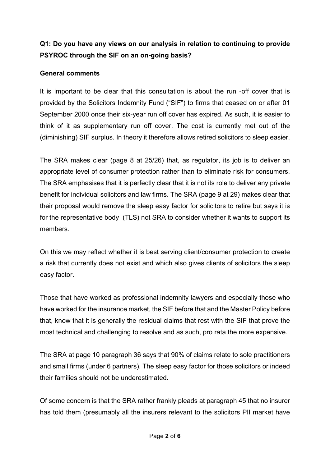#### **Q1: Do you have any views on our analysis in relation to continuing to provide PSYROC through the SIF on an on-going basis?**

#### **General comments**

It is important to be clear that this consultation is about the run -off cover that is provided by the Solicitors Indemnity Fund ("SIF") to firms that ceased on or after 01 September 2000 once their six-year run off cover has expired. As such, it is easier to think of it as supplementary run off cover. The cost is currently met out of the (diminishing) SIF surplus. In theory it therefore allows retired solicitors to sleep easier.

The SRA makes clear (page 8 at 25/26) that, as regulator, its job is to deliver an appropriate level of consumer protection rather than to eliminate risk for consumers. The SRA emphasises that it is perfectly clear that it is not its role to deliver any private benefit for individual solicitors and law firms. The SRA (page 9 at 29) makes clear that their proposal would remove the sleep easy factor for solicitors to retire but says it is for the representative body (TLS) not SRA to consider whether it wants to support its members.

On this we may reflect whether it is best serving client/consumer protection to create a risk that currently does not exist and which also gives clients of solicitors the sleep easy factor.

Those that have worked as professional indemnity lawyers and especially those who have worked for the insurance market, the SIF before that and the Master Policy before that, know that it is generally the residual claims that rest with the SIF that prove the most technical and challenging to resolve and as such, pro rata the more expensive.

The SRA at page 10 paragraph 36 says that 90% of claims relate to sole practitioners and small firms (under 6 partners). The sleep easy factor for those solicitors or indeed their families should not be underestimated.

Of some concern is that the SRA rather frankly pleads at paragraph 45 that no insurer has told them (presumably all the insurers relevant to the solicitors PII market have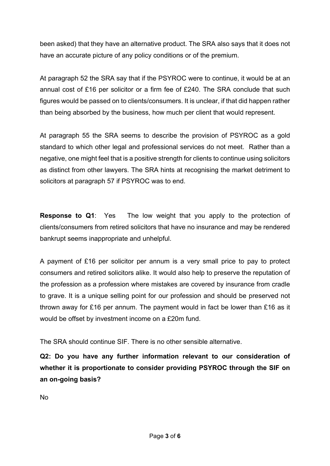been asked) that they have an alternative product. The SRA also says that it does not have an accurate picture of any policy conditions or of the premium.

At paragraph 52 the SRA say that if the PSYROC were to continue, it would be at an annual cost of £16 per solicitor or a firm fee of £240. The SRA conclude that such figures would be passed on to clients/consumers. It is unclear, if that did happen rather than being absorbed by the business, how much per client that would represent.

At paragraph 55 the SRA seems to describe the provision of PSYROC as a gold standard to which other legal and professional services do not meet. Rather than a negative, one might feel that is a positive strength for clients to continue using solicitors as distinct from other lawyers. The SRA hints at recognising the market detriment to solicitors at paragraph 57 if PSYROC was to end.

**Response to Q1**: Yes The low weight that you apply to the protection of clients/consumers from retired solicitors that have no insurance and may be rendered bankrupt seems inappropriate and unhelpful.

A payment of £16 per solicitor per annum is a very small price to pay to protect consumers and retired solicitors alike. It would also help to preserve the reputation of the profession as a profession where mistakes are covered by insurance from cradle to grave. It is a unique selling point for our profession and should be preserved not thrown away for £16 per annum. The payment would in fact be lower than £16 as it would be offset by investment income on a £20m fund.

The SRA should continue SIF. There is no other sensible alternative.

**Q2: Do you have any further information relevant to our consideration of whether it is proportionate to consider providing PSYROC through the SIF on an on-going basis?**

No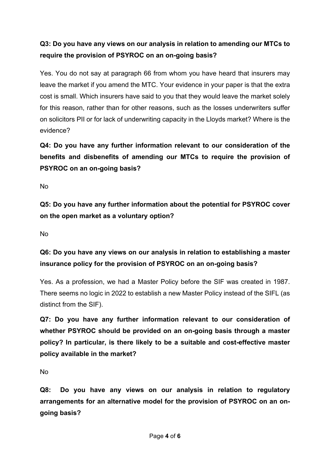### **Q3: Do you have any views on our analysis in relation to amending our MTCs to require the provision of PSYROC on an on-going basis?**

Yes. You do not say at paragraph 66 from whom you have heard that insurers may leave the market if you amend the MTC. Your evidence in your paper is that the extra cost is small. Which insurers have said to you that they would leave the market solely for this reason, rather than for other reasons, such as the losses underwriters suffer on solicitors PII or for lack of underwriting capacity in the Lloyds market? Where is the evidence?

**Q4: Do you have any further information relevant to our consideration of the benefits and disbenefits of amending our MTCs to require the provision of PSYROC on an on-going basis?**

No

**Q5: Do you have any further information about the potential for PSYROC cover on the open market as a voluntary option?**

No

**Q6: Do you have any views on our analysis in relation to establishing a master insurance policy for the provision of PSYROC on an on-going basis?**

Yes. As a profession, we had a Master Policy before the SIF was created in 1987. There seems no logic in 2022 to establish a new Master Policy instead of the SIFL (as distinct from the SIF).

**Q7: Do you have any further information relevant to our consideration of whether PSYROC should be provided on an on-going basis through a master policy? In particular, is there likely to be a suitable and cost-effective master policy available in the market?**

No

**Q8: Do you have any views on our analysis in relation to regulatory arrangements for an alternative model for the provision of PSYROC on an ongoing basis?**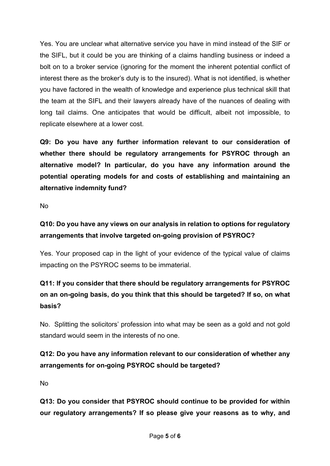Yes. You are unclear what alternative service you have in mind instead of the SIF or the SIFL, but it could be you are thinking of a claims handling business or indeed a bolt on to a broker service (ignoring for the moment the inherent potential conflict of interest there as the broker's duty is to the insured). What is not identified, is whether you have factored in the wealth of knowledge and experience plus technical skill that the team at the SIFL and their lawyers already have of the nuances of dealing with long tail claims. One anticipates that would be difficult, albeit not impossible, to replicate elsewhere at a lower cost.

**Q9: Do you have any further information relevant to our consideration of whether there should be regulatory arrangements for PSYROC through an alternative model? In particular, do you have any information around the potential operating models for and costs of establishing and maintaining an alternative indemnity fund?**

No

#### **Q10: Do you have any views on our analysis in relation to options for regulatory arrangements that involve targeted on-going provision of PSYROC?**

Yes. Your proposed cap in the light of your evidence of the typical value of claims impacting on the PSYROC seems to be immaterial.

# **Q11: If you consider that there should be regulatory arrangements for PSYROC on an on-going basis, do you think that this should be targeted? If so, on what basis?**

No. Splitting the solicitors' profession into what may be seen as a gold and not gold standard would seem in the interests of no one.

## **Q12: Do you have any information relevant to our consideration of whether any arrangements for on-going PSYROC should be targeted?**

No

**Q13: Do you consider that PSYROC should continue to be provided for within our regulatory arrangements? If so please give your reasons as to why, and**